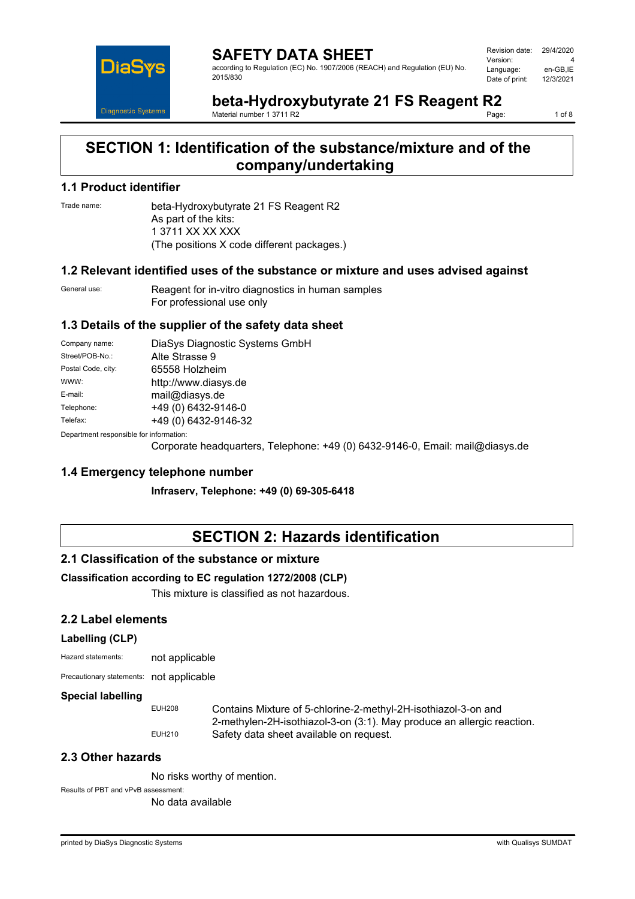

**SAFETY DATA SHEET** according to Regulation (EC) No. 1907/2006 (REACH) and Regulation (EU) No. 2015/830

Revision date: 29/4/2020 Version: 4<br>Language: en-GB.IE Language: en-GB,IE<br>Date of print: 12/3/2021 Date of print:

**beta-Hydroxybutyrate 21 FS Reagent R2** Material number 1 3711 R2

1 of 8

# **SECTION 1: Identification of the substance/mixture and of the company/undertaking**

#### **1.1 Product identifier**

Trade name: beta-Hydroxybutyrate 21 FS Reagent R2 As part of the kits: 1 3711 XX XX XXX (The positions X code different packages.)

### **1.2 Relevant identified uses of the substance or mixture and uses advised against**

General use: Reagent for in-vitro diagnostics in human samples For professional use only

### **1.3 Details of the supplier of the safety data sheet**

| Company name:                           | DiaSys Diagnostic Systems GmbH |
|-----------------------------------------|--------------------------------|
| Street/POB-No.:                         | Alte Strasse 9                 |
| Postal Code, city:                      | 65558 Holzheim                 |
| WWW:                                    | http://www.diasys.de           |
| E-mail:                                 | mail@diasys.de                 |
| Telephone:                              | +49 (0) 6432-9146-0            |
| Telefax:                                | +49 (0) 6432-9146-32           |
| Department responsible for information: |                                |

Corporate headquarters, Telephone: +49 (0) 6432-9146-0, Email: mail@diasys.de

### **1.4 Emergency telephone number**

**Infraserv, Telephone: +49 (0) 69-305-6418**

# **SECTION 2: Hazards identification**

### **2.1 Classification of the substance or mixture**

### **Classification according to EC regulation 1272/2008 (CLP)**

This mixture is classified as not hazardous.

### **2.2 Label elements**

#### **Labelling (CLP)**

| Hazard statements: | not applicable |
|--------------------|----------------|
|                    |                |

Precautionary statements: not applicable

#### **Special labelling**

EUH208 Contains Mixture of 5-chlorine-2-methyl-2H-isothiazol-3-on and 2-methylen-2H-isothiazol-3-on (3:1). May produce an allergic reaction. EUH210 Safety data sheet available on request.

### **2.3 Other hazards**

No risks worthy of mention.

Results of PBT and vPvB assessment:

No data available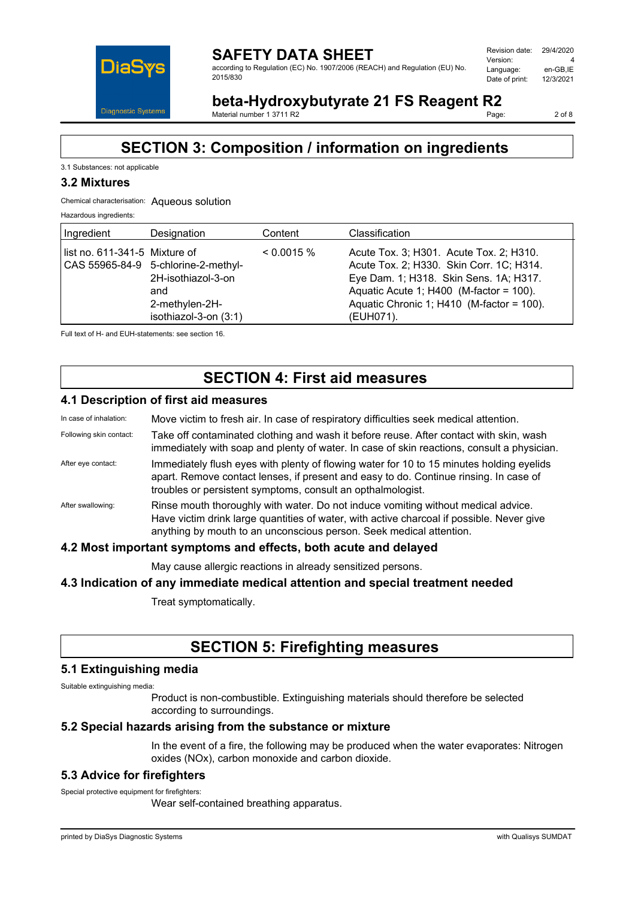

**SAFETY DATA SHEET** according to Regulation (EC) No. 1907/2006 (REACH) and Regulation (EU) No. 2015/830

| Revision date: | 29/4/2020 |
|----------------|-----------|
| Version:       | Δ         |
| Language:      | en-GB.IE  |
| Date of print: | 12/3/2021 |
|                |           |

**beta-Hydroxybutyrate 21 FS Reagent R2**<br>Material number 1.3711.R2

Material number 1 3711 R2

2 of 8

# **SECTION 3: Composition / information on ingredients**

#### 3.1 Substances: not applicable

### **3.2 Mixtures**

#### Chemical characterisation: Aqueous solution

Hazardous ingredients:

| Ingredient                    | Designation                                                                                                 | Content      | Classification                                                                                                                                                                                                                       |
|-------------------------------|-------------------------------------------------------------------------------------------------------------|--------------|--------------------------------------------------------------------------------------------------------------------------------------------------------------------------------------------------------------------------------------|
| list no. 611-341-5 Mixture of | CAS 55965-84-9 5-chlorine-2-methyl-<br>2H-isothiazol-3-on<br>and<br>2-methylen-2H-<br>isothiazol-3-on (3:1) | $< 0.0015\%$ | Acute Tox. 3; H301. Acute Tox. 2; H310.<br>Acute Tox. 2; H330. Skin Corr. 1C; H314.<br>Eye Dam. 1; H318. Skin Sens. 1A; H317.<br>Aquatic Acute 1; $H400$ (M-factor = 100).<br>Aquatic Chronic 1; H410 (M-factor = 100).<br>(EUH071). |

Full text of H- and EUH-statements: see section 16.

# **SECTION 4: First aid measures**

#### **4.1 Description of first aid measures**

| In case of inhalation:                                          | Move victim to fresh air. In case of respiratory difficulties seek medical attention.                                                                                                                                                                 |
|-----------------------------------------------------------------|-------------------------------------------------------------------------------------------------------------------------------------------------------------------------------------------------------------------------------------------------------|
| Following skin contact:                                         | Take off contaminated clothing and wash it before reuse. After contact with skin, wash<br>immediately with soap and plenty of water. In case of skin reactions, consult a physician.                                                                  |
| After eye contact:                                              | Immediately flush eyes with plenty of flowing water for 10 to 15 minutes holding eyelids<br>apart. Remove contact lenses, if present and easy to do. Continue rinsing. In case of<br>troubles or persistent symptoms, consult an opthalmologist.      |
| After swallowing:                                               | Rinse mouth thoroughly with water. Do not induce vomiting without medical advice.<br>Have victim drink large quantities of water, with active charcoal if possible. Never give<br>anything by mouth to an unconscious person. Seek medical attention. |
| 4.2 Most important symptoms and effects, both acute and delayed |                                                                                                                                                                                                                                                       |

May cause allergic reactions in already sensitized persons.

#### **4.3 Indication of any immediate medical attention and special treatment needed**

Treat symptomatically.

# **SECTION 5: Firefighting measures**

#### **5.1 Extinguishing media**

Suitable extinguishing media:

Product is non-combustible. Extinguishing materials should therefore be selected according to surroundings.

#### **5.2 Special hazards arising from the substance or mixture**

In the event of a fire, the following may be produced when the water evaporates: Nitrogen oxides (NOx), carbon monoxide and carbon dioxide.

### **5.3 Advice for firefighters**

Special protective equipment for firefighters:

Wear self-contained breathing apparatus.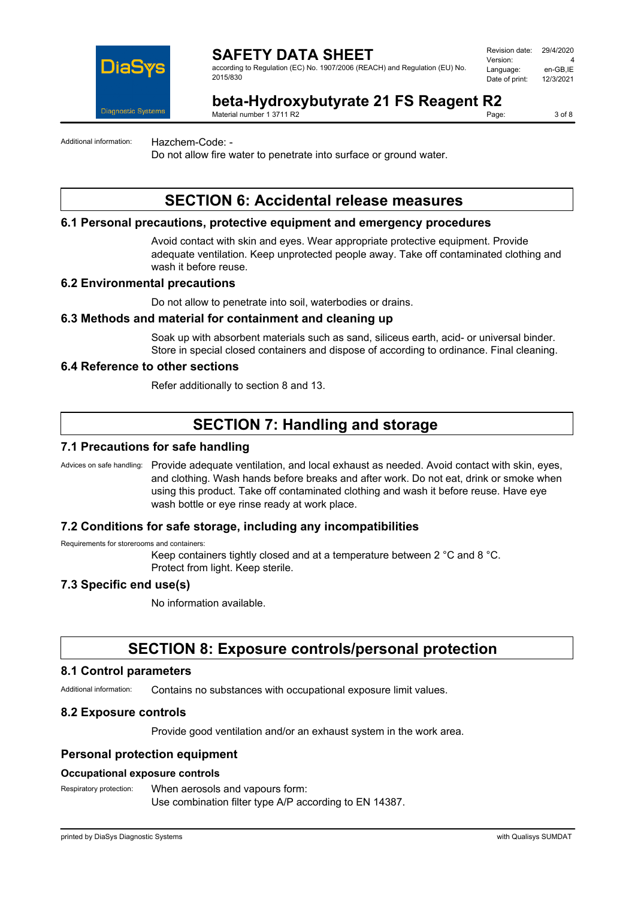

according to Regulation (EC) No. 1907/2006 (REACH) and Regulation (EU) No. 2015/830

| Revision date: | 29/4/2020 |
|----------------|-----------|
| Version:       | Δ         |
| Language:      | en-GB.IE  |
| Date of print: | 12/3/2021 |
|                |           |

# **beta-Hydroxybutyrate 21 FS Reagent R2**<br>Material number 1.3711.R2

Material number 1 3711 R2

3 of 8

Additional information: Hazchem-Code: -

Do not allow fire water to penetrate into surface or ground water.

# **SECTION 6: Accidental release measures**

## **6.1 Personal precautions, protective equipment and emergency procedures**

Avoid contact with skin and eyes. Wear appropriate protective equipment. Provide adequate ventilation. Keep unprotected people away. Take off contaminated clothing and wash it before reuse.

### **6.2 Environmental precautions**

Do not allow to penetrate into soil, waterbodies or drains.

### **6.3 Methods and material for containment and cleaning up**

Soak up with absorbent materials such as sand, siliceus earth, acid- or universal binder. Store in special closed containers and dispose of according to ordinance. Final cleaning.

### **6.4 Reference to other sections**

Refer additionally to section 8 and 13.

# **SECTION 7: Handling and storage**

#### **7.1 Precautions for safe handling**

Advices on safe handling: Provide adequate ventilation, and local exhaust as needed. Avoid contact with skin, eyes, and clothing. Wash hands before breaks and after work. Do not eat, drink or smoke when using this product. Take off contaminated clothing and wash it before reuse. Have eye wash bottle or eye rinse ready at work place.

#### **7.2 Conditions for safe storage, including any incompatibilities**

Requirements for storerooms and containers:

Keep containers tightly closed and at a temperature between 2 °C and 8 °C. Protect from light. Keep sterile.

### **7.3 Specific end use(s)**

No information available.

# **SECTION 8: Exposure controls/personal protection**

#### **8.1 Control parameters**

Additional information: Contains no substances with occupational exposure limit values.

#### **8.2 Exposure controls**

Provide good ventilation and/or an exhaust system in the work area.

### **Personal protection equipment**

#### **Occupational exposure controls**

Respiratory protection: When aerosols and vapours form: Use combination filter type A/P according to EN 14387.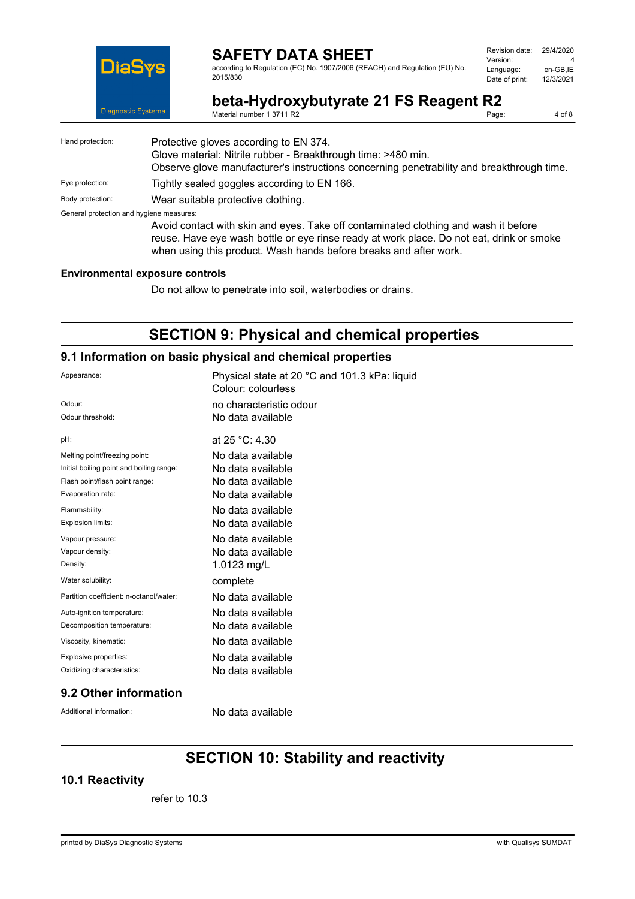

according to Regulation (EC) No. 1907/2006 (REACH) and Regulation (EU) No. 2015/830

| Revision date: | 29/4/2020 |
|----------------|-----------|
| Version:       | Δ         |
| Language:      | en-GB,IE  |
| Date of print: | 12/3/2021 |
|                |           |

**beta-Hydroxybutyrate 21 FS Reagent R2**<br>Material number 1 3711 R2 Material number 1 3711 R2

4 of 8

| Hand protection:                         | Protective gloves according to EN 374.<br>Glove material: Nitrile rubber - Breakthrough time: >480 min.<br>Observe glove manufacturer's instructions concerning penetrability and breakthrough time.                                                 |
|------------------------------------------|------------------------------------------------------------------------------------------------------------------------------------------------------------------------------------------------------------------------------------------------------|
| Eye protection:                          | Tightly sealed goggles according to EN 166.                                                                                                                                                                                                          |
| Body protection:                         | Wear suitable protective clothing.                                                                                                                                                                                                                   |
| General protection and hygiene measures: | Avoid contact with skin and eyes. Take off contaminated clothing and wash it before<br>reuse. Have eye wash bottle or eye rinse ready at work place. Do not eat, drink or smoke<br>when using this product. Wash hands before breaks and after work. |

#### **Environmental exposure controls**

Do not allow to penetrate into soil, waterbodies or drains.

# **SECTION 9: Physical and chemical properties**

### **9.1 Information on basic physical and chemical properties**

| Appearance:                              | Physical state at 20 °C and 101.3 kPa: liquid<br>Colour: colourless |
|------------------------------------------|---------------------------------------------------------------------|
| Odour:                                   | no characteristic odour                                             |
| Odour threshold:                         | No data available                                                   |
| pH:                                      | at $25 °C: 4.30$                                                    |
| Melting point/freezing point:            | No data available                                                   |
| Initial boiling point and boiling range: | No data available                                                   |
| Flash point/flash point range:           | No data available                                                   |
| Evaporation rate:                        | No data available                                                   |
| Flammability:                            | No data available                                                   |
| Explosion limits:                        | No data available                                                   |
| Vapour pressure:                         | No data available                                                   |
| Vapour density:                          | No data available                                                   |
| Density:                                 | 1.0123 mg/L                                                         |
| Water solubility:                        | complete                                                            |
| Partition coefficient: n-octanol/water:  | No data available                                                   |
| Auto-ignition temperature:               | No data available                                                   |
| Decomposition temperature:               | No data available                                                   |
| Viscosity, kinematic:                    | No data available                                                   |
| Explosive properties:                    | No data available                                                   |
| Oxidizing characteristics:               | No data available                                                   |
|                                          |                                                                     |

#### **9.2 Other information**

Additional information: No data available

# **SECTION 10: Stability and reactivity**

### **10.1 Reactivity**

refer to 10.3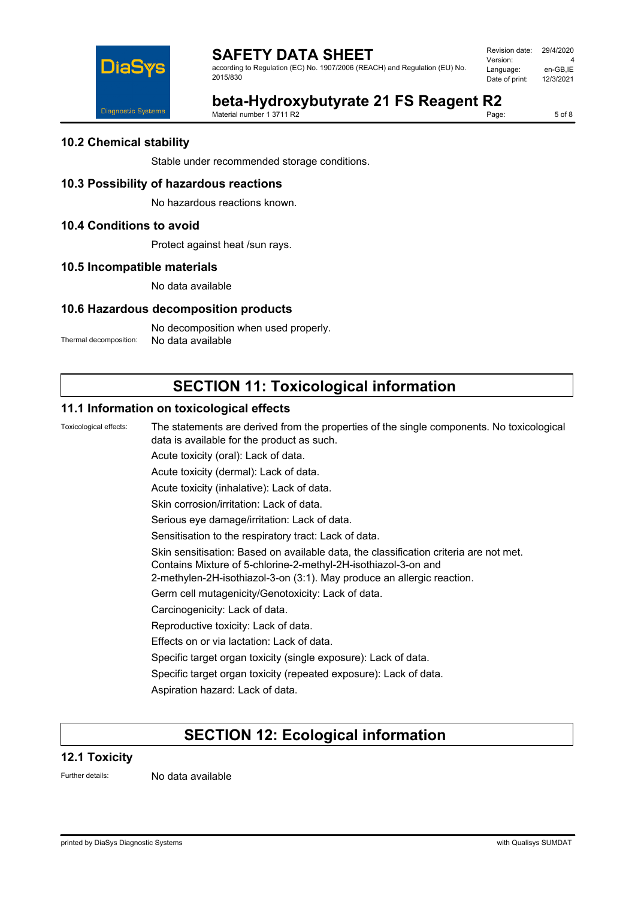

according to Regulation (EC) No. 1907/2006 (REACH) and Regulation (EU) No. 2015/830

| Revision date: | 29/4/2020 |
|----------------|-----------|
| Version:       | Δ         |
| Language:      | en-GB,IE  |
| Date of print: | 12/3/2021 |
|                |           |

# **beta-Hydroxybutyrate 21 FS Reagent R2**

Material number 1 3711 R2

5 of 8

## **10.2 Chemical stability**

Stable under recommended storage conditions.

## **10.3 Possibility of hazardous reactions**

No hazardous reactions known.

## **10.4 Conditions to avoid**

Protect against heat /sun rays.

## **10.5 Incompatible materials**

No data available

## **10.6 Hazardous decomposition products**

No decomposition when used properly.

Thermal decomposition: No data available

# **SECTION 11: Toxicological information**

## **11.1 Information on toxicological effects**

Toxicological effects: The statements are derived from the properties of the single components. No toxicological data is available for the product as such. Acute toxicity (oral): Lack of data. Acute toxicity (dermal): Lack of data.

Acute toxicity (inhalative): Lack of data.

Skin corrosion/irritation: Lack of data.

Serious eye damage/irritation: Lack of data.

Sensitisation to the respiratory tract: Lack of data.

Skin sensitisation: Based on available data, the classification criteria are not met.

Contains Mixture of 5-chlorine-2-methyl-2H-isothiazol-3-on and

2-methylen-2H-isothiazol-3-on (3:1). May produce an allergic reaction.

Germ cell mutagenicity/Genotoxicity: Lack of data.

Carcinogenicity: Lack of data.

Reproductive toxicity: Lack of data.

Effects on or via lactation: Lack of data.

Specific target organ toxicity (single exposure): Lack of data.

Specific target organ toxicity (repeated exposure): Lack of data.

Aspiration hazard: Lack of data.

# **SECTION 12: Ecological information**

### **12.1 Toxicity**

Further details: No data available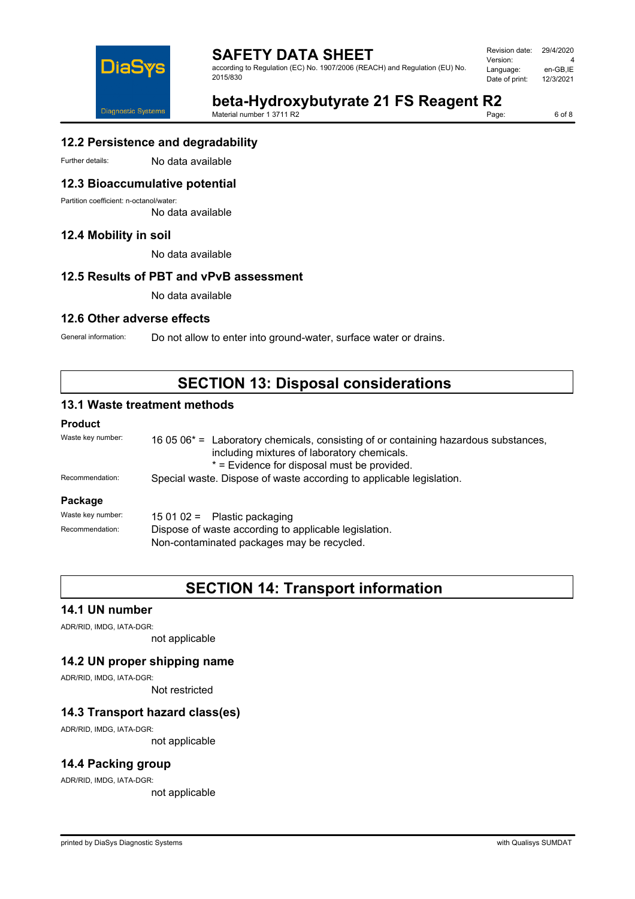

according to Regulation (EC) No. 1907/2006 (REACH) and Regulation (EU) No. 2015/830

| Revision date: | 29/4/2020 |
|----------------|-----------|
| Version:       | Δ         |
| Language:      | en-GB,IE  |
| Date of print: | 12/3/2021 |
|                |           |

# **beta-Hydroxybutyrate 21 FS Reagent R2**<br>Material number 1 3711 R2

Material number 1 3711 R2

6 of 8

# **12.2 Persistence and degradability**

Further details: No data available

## **12.3 Bioaccumulative potential**

Partition coefficient: n-octanol/water:

No data available

# **12.4 Mobility in soil**

No data available

# **12.5 Results of PBT and vPvB assessment**

No data available

## **12.6 Other adverse effects**

General information: Do not allow to enter into ground-water, surface water or drains.

# **SECTION 13: Disposal considerations**

# **13.1 Waste treatment methods**

#### **Product**

| Waste key number: | 16 05 $06*$ = Laboratory chemicals, consisting of or containing hazardous substances,<br>including mixtures of laboratory chemicals.<br>* = Evidence for disposal must be provided. |  |
|-------------------|-------------------------------------------------------------------------------------------------------------------------------------------------------------------------------------|--|
| Recommendation:   | Special waste. Dispose of waste according to applicable legislation.                                                                                                                |  |
| Package           |                                                                                                                                                                                     |  |
| Waste key number: | 15 01 02 = Plastic packaging                                                                                                                                                        |  |
| Recommendation:   | Dispose of waste according to applicable legislation.<br>Non-contaminated packages may be recycled.                                                                                 |  |

# **SECTION 14: Transport information**

### **14.1 UN number**

ADR/RID, IMDG, IATA-DGR:

not applicable

### **14.2 UN proper shipping name**

ADR/RID, IMDG, IATA-DGR:

Not restricted

### **14.3 Transport hazard class(es)**

ADR/RID, IMDG, IATA-DGR:

not applicable

### **14.4 Packing group**

ADR/RID, IMDG, IATA-DGR:

not applicable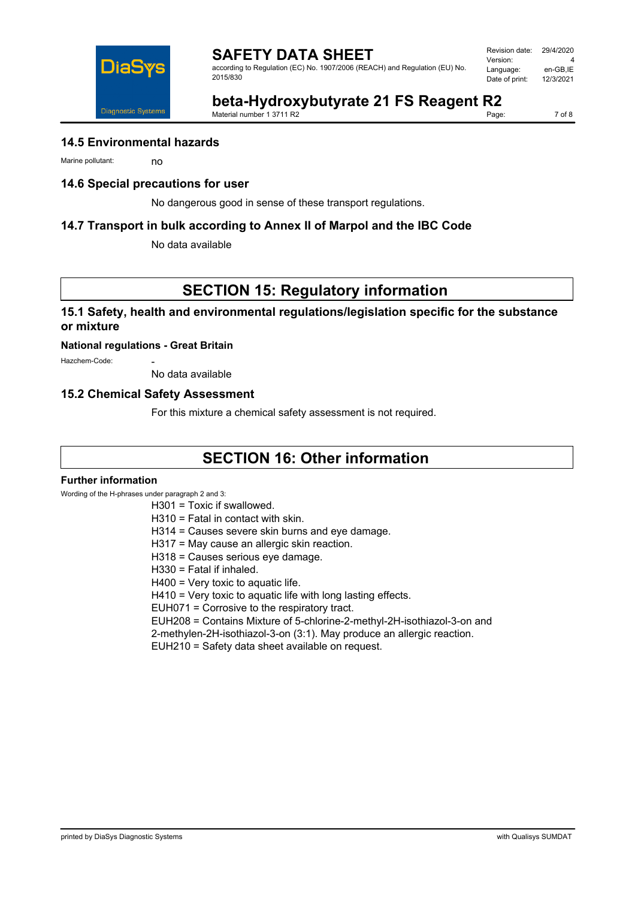

according to Regulation (EC) No. 1907/2006 (REACH) and Regulation (EU) No. 2015/830

| Revision date: | 29/4/2020 |
|----------------|-----------|
| Version:       | 4         |
| Language:      | en-GB.IE  |
| Date of print: | 12/3/2021 |
|                |           |



**beta-Hydroxybutyrate 21 FS Reagent R2**

Material number 1 3711 R2

7 of 8

### **14.5 Environmental hazards**

Marine pollutant: no

### **14.6 Special precautions for user**

No dangerous good in sense of these transport regulations.

### **14.7 Transport in bulk according to Annex II of Marpol and the IBC Code**

No data available

# **SECTION 15: Regulatory information**

### **15.1 Safety, health and environmental regulations/legislation specific for the substance or mixture**

#### **National regulations - Great Britain**

Hazchem-Code:

No data available

### **15.2 Chemical Safety Assessment**

For this mixture a chemical safety assessment is not required.

# **SECTION 16: Other information**

#### **Further information**

Wording of the H-phrases under paragraph 2 and 3:

#### H301 = Toxic if swallowed.

- H310 = Fatal in contact with skin.
- H314 = Causes severe skin burns and eye damage.
- H317 = May cause an allergic skin reaction.
- H318 = Causes serious eye damage.
- H330 = Fatal if inhaled.
- H400 = Very toxic to aquatic life.
- H410 = Very toxic to aquatic life with long lasting effects.
- EUH071 = Corrosive to the respiratory tract.
- EUH208 = Contains Mixture of 5-chlorine-2-methyl-2H-isothiazol-3-on and
- 2-methylen-2H-isothiazol-3-on (3:1). May produce an allergic reaction.
- EUH210 = Safety data sheet available on request.